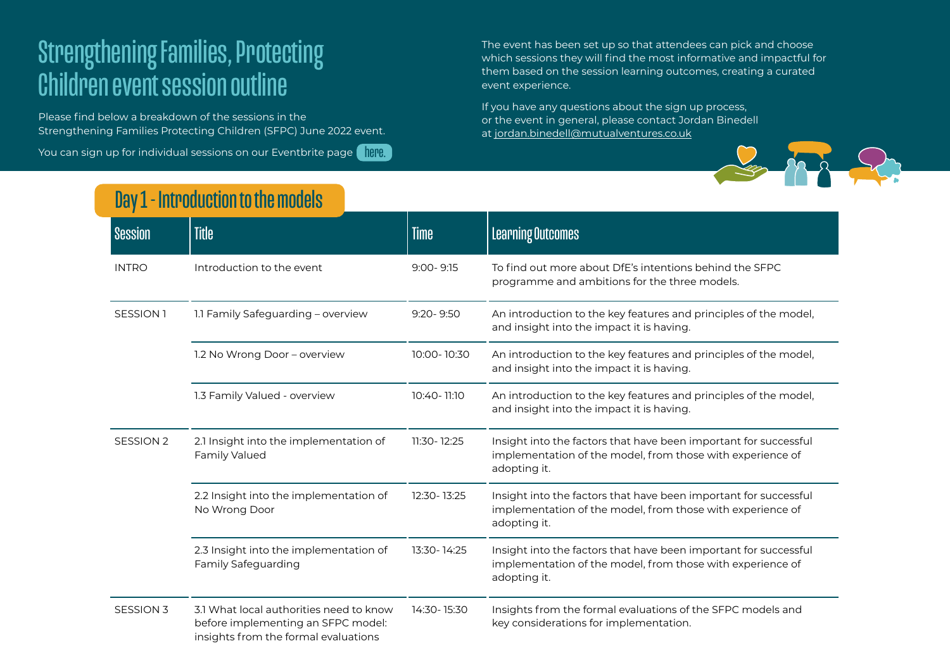## Strengthening Families, Protecting Children event session outline

Please find below a breakdown of the sessions in the Strengthening Families Protecting Children (SFPC) June 2022 event.

You can sign up for individual sessions on our Eventbrite page <mark>a here.</mark>

The event has been set up so that attendees can pick and choose which sessions they will find the most informative and impactful for them based on the session learning outcomes, creating a curated event experience.

If you have any questions about the sign up process, or the event in general, please contact Jordan Binedell at [jordan.binedell@mutualventures.co.uk](mailto:mailto:jordan.binedell%40mutualventures.co.uk?subject=)



## Day 1 - Introduction to the models

| <b>Session</b>       | <b>Title</b>                                                                                                          | <b>Time</b>   | <b>Learning Outcomes</b>                                                                                                                       |
|----------------------|-----------------------------------------------------------------------------------------------------------------------|---------------|------------------------------------------------------------------------------------------------------------------------------------------------|
| <b>INTRO</b>         | Introduction to the event                                                                                             | $9:00 - 9:15$ | To find out more about DfE's intentions behind the SFPC<br>programme and ambitions for the three models.                                       |
| SESSION <sub>1</sub> | 1.1 Family Safeguarding - overview                                                                                    | $9:20 - 9:50$ | An introduction to the key features and principles of the model,<br>and insight into the impact it is having.                                  |
|                      | 1.2 No Wrong Door - overview                                                                                          | 10:00-10:30   | An introduction to the key features and principles of the model,<br>and insight into the impact it is having.                                  |
|                      | 1.3 Family Valued - overview                                                                                          | 10:40-11:10   | An introduction to the key features and principles of the model,<br>and insight into the impact it is having.                                  |
| <b>SESSION 2</b>     | 2.1 Insight into the implementation of<br>Family Valued                                                               | 11:30-12:25   | Insight into the factors that have been important for successful<br>implementation of the model, from those with experience of<br>adopting it. |
|                      | 2.2 Insight into the implementation of<br>No Wrong Door                                                               | 12:30-13:25   | Insight into the factors that have been important for successful<br>implementation of the model, from those with experience of<br>adopting it. |
|                      | 2.3 Insight into the implementation of<br><b>Family Safeguarding</b>                                                  | 13:30-14:25   | Insight into the factors that have been important for successful<br>implementation of the model, from those with experience of<br>adopting it. |
| <b>SESSION 3</b>     | 3.1 What local authorities need to know<br>before implementing an SFPC model:<br>insights from the formal evaluations | 14:30-15:30   | Insights from the formal evaluations of the SFPC models and<br>key considerations for implementation.                                          |